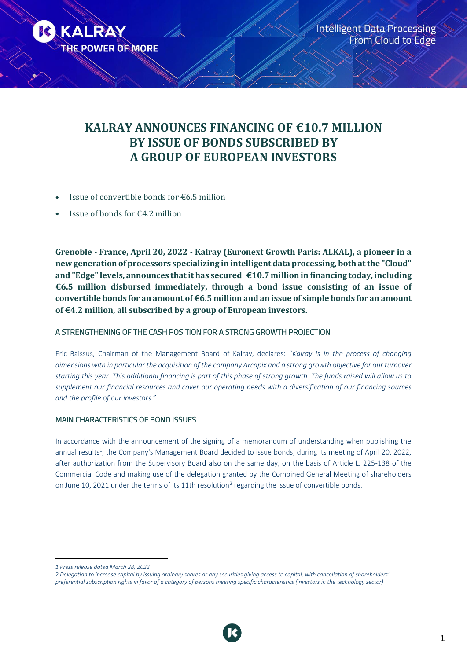

# **KALRAY ANNOUNCES FINANCING OF €10.7 MILLION BY ISSUE OF BONDS SUBSCRIBED BY A GROUP OF EUROPEAN INVESTORS**

- Issue of convertible bonds for €6.5 million
- Issue of bonds for  $\epsilon$ 4.2 million

**Grenoble - France, April 20, 2022 - Kalray (Euronext Growth Paris: ALKAL), a pioneer in a new generation of processors specializing in intelligent data processing, both at the "Cloud" and "Edge" levels, announces that it has secured €10.7 million in financing today, including €6.5 million disbursed immediately, through a bond issue consisting of an issue of convertible bonds for an amount of €6.5 million and an issue of simple bonds for an amount of €4.2 million, all subscribed by a group of European investors.** 

## A STRENGTHENING OF THE CASH POSITION FOR A STRONG GROWTH PROJECTION

Eric Baissus, Chairman of the Management Board of Kalray, declares: "*Kalray is in the process of changing dimensions with in particular the acquisition of the company Arcapix and a strong growth objective for our turnover starting this year. This additional financing is part of this phase of strong growth. The funds raised will allow us to supplement our financial resources and cover our operating needs with a diversification of our financing sources and the profile of our investors.*"

## MAIN CHARACTERISTICS OF BOND ISSUES

In accordance with the announcement of the signing of a memorandum of understanding when publishing the annual results<sup>1</sup>, the Company's Management Board decided to issue bonds, during its meeting of April 20, 2022, after authorization from the Supervisory Board also on the same day, on the basis of Article L. 225-138 of the Commercial Code and making use of the delegation granted by the Combined General Meeting of shareholders on June 10, 2021 under the terms of its 11th resolution<sup>2</sup> regarding the issue of convertible bonds.



*<sup>1</sup> Press release dated March 28, 2022*

*<sup>2</sup> Delegation to increase capital by issuing ordinary shares or any securities giving access to capital, with cancellation of shareholders' preferential subscription rights in favor of a category of persons meeting specific characteristics (investors in the technology sector)*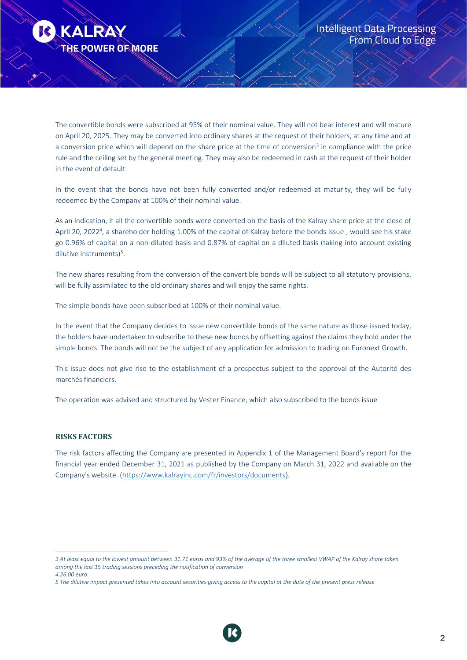

The convertible bonds were subscribed at 95% of their nominal value. They will not bear interest and will mature on April 20, 2025. They may be converted into ordinary shares at the request of their holders, at any time and at a conversion price which will depend on the share price at the time of conversion<sup>3</sup> in compliance with the price rule and the ceiling set by the general meeting. They may also be redeemed in cash at the request of their holder in the event of default.

In the event that the bonds have not been fully converted and/or redeemed at maturity, they will be fully redeemed by the Company at 100% of their nominal value.

As an indication, if all the convertible bonds were converted on the basis of the Kalray share price at the close of April 20, 2022<sup>4</sup>, a shareholder holding 1.00% of the capital of Kalray before the bonds issue, would see his stake go 0.96% of capital on a non-diluted basis and 0.87% of capital on a diluted basis (taking into account existing dilutive instruments)<sup>5</sup>.

The new shares resulting from the conversion of the convertible bonds will be subject to all statutory provisions, will be fully assimilated to the old ordinary shares and will enjoy the same rights.

The simple bonds have been subscribed at 100% of their nominal value.

In the event that the Company decides to issue new convertible bonds of the same nature as those issued today, the holders have undertaken to subscribe to these new bonds by offsetting against the claims they hold under the simple bonds. The bonds will not be the subject of any application for admission to trading on Euronext Growth.

This issue does not give rise to the establishment of a prospectus subject to the approval of the Autorité des marchés financiers.

The operation was advised and structured by Vester Finance, which also subscribed to the bonds issue

#### **RISKS FACTORS**

The risk factors affecting the Company are presented in Appendix 1 of the Management Board's report for the financial year ended December 31, 2021 as published by the Company on March 31, 2022 and available on the Company's website. [\(https://www.kalrayinc.com/fr/investors/documents\)](https://www.kalrayinc.com/fr/investors/documents).



*<sup>3</sup> At least equal to the lowest amount between 31.71 euros and 93% of the average of the three smallest VWAP of the Kalray share taken among the last 15 trading sessions preceding the notification of conversion 4 26.00 euro*

*<sup>5</sup> The dilutive impact presented takes into account securities giving access to the capital at the date of the present press release*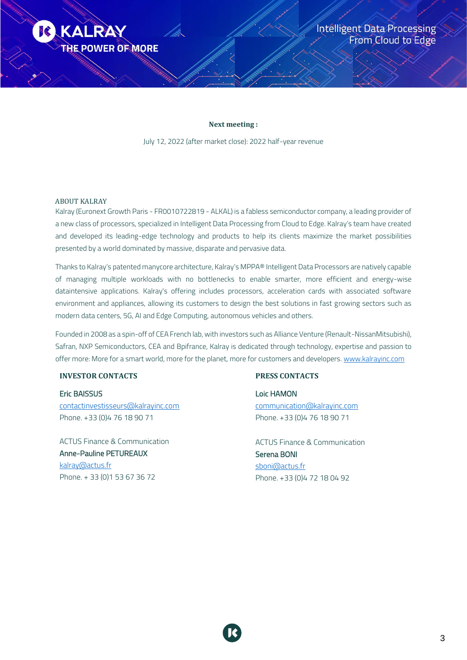

#### **Next meeting :**

July 12, 2022 (after market close): 2022 half-year revenue

#### ABOUT KALRAY

Kalray (Euronext Growth Paris - FR0010722819 - ALKAL) is a fabless semiconductor company, a leading provider of a new class of processors, specialized in Intelligent Data Processing from Cloud to Edge. Kalray's team have created and developed its leading-edge technology and products to help its clients maximize the market possibilities presented by a world dominated by massive, disparate and pervasive data.

Thanks to Kalray's patented manycore architecture, Kalray's MPPA® Intelligent Data Processors are natively capable of managing multiple workloads with no bottlenecks to enable smarter, more efficient and energy-wise dataintensive applications. Kalray's offering includes processors, acceleration cards with associated software environment and appliances, allowing its customers to design the best solutions in fast growing sectors such as modern data centers, 5G, AI and Edge Computing, autonomous vehicles and others.

Founded in 2008 as a spin-off of CEA French lab, with investors such as Alliance Venture (Renault-NissanMitsubishi), Safran, NXP Semiconductors, CEA and Bpifrance, Kalray is dedicated through technology, expertise and passion to offer more: More for a smart world, more for the planet, more for customers and developers. [www.kalrayinc.com](http://www.kalrayinc.com/)

### **INVESTOR CONTACTS**

Eric BAISSUS [contactinvestisseurs@kalrayinc.com](mailto:contactinvestisseurs@kalrayinc.com) Phone. +33 (0)4 76 18 90 71

ACTUS Finance & Communication Anne-Pauline PETUREAUX [kalray@actus.fr](mailto:kalray@actus.fr) Phone. + 33 (0)1 53 67 36 72

#### **PRESS CONTACTS**

Loic HAMON [communication@kalrayinc.com](mailto:communication@kalrayinc.com) Phone. +33 (0)4 76 18 90 71

ACTUS Finance & Communication Serena BONI [sboni@actus.fr](mailto:sboni@actus.fr) Phone. +33 (0)4 72 18 04 92